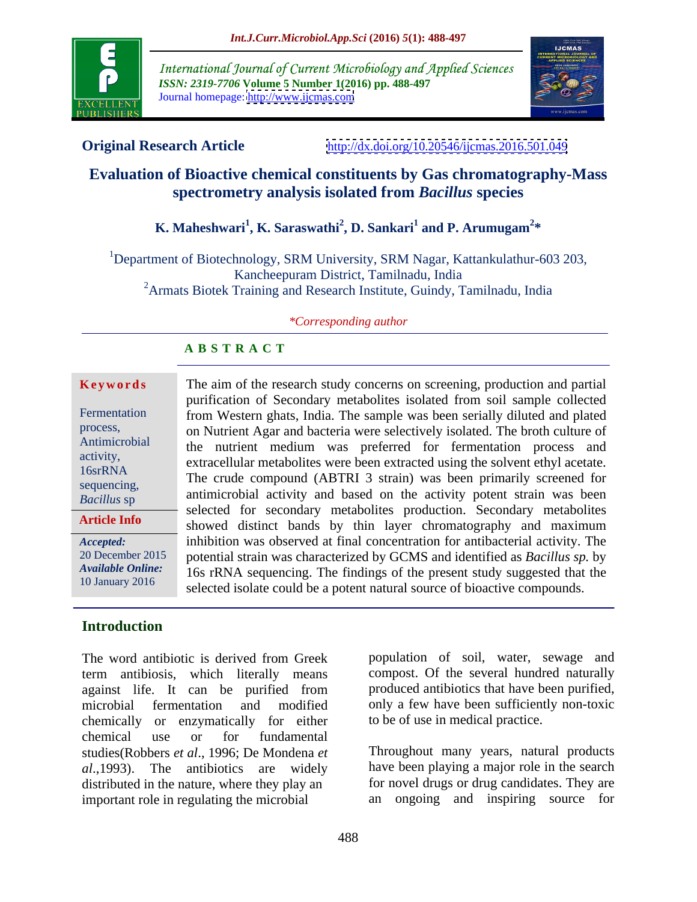

International Journal of Current Microbiology and Applied Sciences *ISSN: 2319-7706* **Volume 5 Number 1(2016) pp. 488-497** Journal homepage: <http://www.ijcmas.com>



**Original Research Article** <http://dx.doi.org/10.20546/ijcmas.2016.501.049>

## **Evaluation of Bioactive chemical constituents by Gas chromatography-Mass spectrometry analysis isolated from** *Bacillus* **species**

### **K. Maheshwari<sup>1</sup> , K. Saraswathi<sup>2</sup> , D. Sankari<sup>1</sup> and P. Arumugam<sup>2</sup> \***

1Department of Biotechnology, SRM University, SRM Nagar, Kattankulathur-603 203, Kancheepuram District, Tamilnadu, India <sup>2</sup>Armats Biotek Training and Research Institute, Guindy, Tamilnadu, India

### *\*Corresponding author*

### **A B S T R A C T**

**Article Info**

### **Introduction**

term antibiosis, which literally means against life. It can be purified from chemically or enzymatically for either chemical use or for fundamental studies(Robbers *et al*., 1996; De Mondena *et*  Throughout many years, natural products *al*.,1993). The antibiotics are widely have been playing a major role in the search distributed in the nature, where they play an for novel drugs or drug candidates. They are important role in regulating the microbial

**Keywords** The aim of the research study concerns on screening, production and partial purification of Secondary metabolites isolated from soil sample collected Fermentation from Western ghats, India. The sample was been serially diluted and plated on Nutrient Agar and bacteria were selectively isolated. The broth culture of process, the nutrient medium was preferred for fermentation process and Antimicrobial activity,<br>
extracellular metabolites were been extracted using the solvent ethyl acetate. 16srRNA<br>
The crude compound (ABTRI 3 strain) was been primarily screened for antimicrobial activity and based on the activity potent strain was been *Bacillus* sp selected for secondary metabolites production. Secondary metabolites showed distinct bands by thin layer chromatography and maximum inhibition was observed at final concentration for antibacterial activity. The *Accepted:*  potential strain was characterized by GCMS and identified as *Bacillus sp.* by 20 December 2015 16s rRNA sequencing. The findings of the present study suggested that the *Available Online:* selected isolate could be a potent natural source of bioactive compounds. 10 January 2016 sequencing,  $\frac{1}{1!}$  is  $\frac{1}{1!}$  in  $\frac{1}{1!}$  in  $\frac{1}{1!}$  in  $\frac{1}{1!}$  in  $\frac{1}{1!}$  in  $\frac{1}{1!}$  in  $\frac{1}{1!}$  in  $\frac{1}{1!}$  in  $\frac{1}{1!}$  in  $\frac{1}{1!}$  in  $\frac{1}{1!}$  in  $\frac{1}{1!}$  in  $\frac{1}{1!}$  in  $\frac{1}{1!}$  in

The word antibiotic is derived from Greek population of soil, water, sewage and microbial fermentation and modified only a few have been sufficiently non-toxic population of soil, water, sewage and compost. Of the several hundred naturally produced antibiotics that have been purified, to be of use in medical practice.

an ongoing and inspiring source for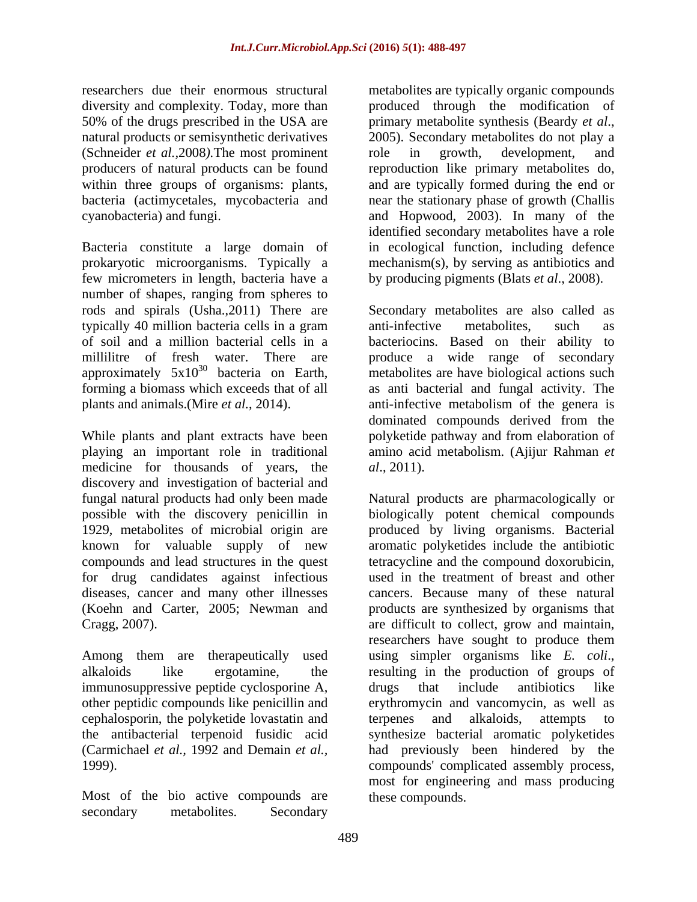50% of the drugs prescribed in the USA are primary metabolite synthesis (Beardy et al., natural products or semisynthetic derivatives 2005). Secondary metabolites do not play a (Schneider *et al.,*2008*).*The most prominent

Bacteria constitute a large domain of prokaryotic microorganisms. Typically a few micrometers in length, bacteria have a by producing pigments (Blats *et al*., 2008). number of shapes, ranging from spheres to rods and spirals (Usha.,2011) There are typically 40 million bacteria cells in a gram approximately  $5x10^{30}$  bacteria on Earth,

While plants and plant extracts have been medicine for thousands of years, the *al.*, 2011). discovery and investigation of bacterial and compounds and lead structures in the quest for drug candidates against infectious

Among them are therapeutically used using simpler organisms like E. coli., alkaloids like ergotamine, the resulting in the production of groups of immunosuppressive peptide cyclosporine A, drugs that include antibiotics like other peptidic compounds like penicillin and cephalosporin, the polyketide lovastatin and terpenes and alkaloids, attempts to the antibacterial terpenoid fusidic acid synthesize bacterial aromatic polyketides

Most of the bio active compounds are secondary metabolites. Secondary metabolites and secondary secondary secondary

researchers due their enormous structural metabolites are typically organic compounds diversity and complexity. Today, more than produced through the modification of producers of natural products can be found reproduction like primary metabolites do, within three groups of organisms: plants, and are typically formed during the end or bacteria (actimycetales, mycobacteria and near the stationary phase of growth (Challis cyanobacteria) and fungi. and Hopwood, 2003). In many of the primary metabolite synthesis (Beardy *et al*., 2005). Secondary metabolites do not play <sup>a</sup> role in growth, development, and identified secondary metabolites have a role in ecological function, including defence mechanism(s), by serving as antibiotics and

of soil and a million bacterial cells in a bacteriocins. Based on their ability to millilitre of fresh water. There are produce a wide range of secondary <sup>30</sup> bacteria on Earth, metabolites are have biological actions such forming a biomass which exceeds that of all as anti bacterial and fungal activity. The plants and animals.(Mire *et al.*, 2014). anti-infective metabolism of the genera is playing an important role in traditional amino acid metabolism. (Ajijur Rahman *et*  Secondary metabolites are also called as anti-infective metabolites, such as dominated compounds derived from the polyketide pathway and from elaboration of *al*., 2011).

fungal natural products had only been made Natural products are pharmacologically or possible with the discovery penicillin in biologically potent chemical compounds 1929, metabolites of microbial origin are produced by living organisms. Bacterial known for valuable supply of new aromatic polyketides include the antibiotic diseases, cancer and many other illnesses cancers. Because many of these natural (Koehn and Carter, 2005; Newman and products are synthesized by organisms that Cragg, 2007). are difficult to collect, grow and maintain, the antibacterial terpenoid fusidic acid synthesize bacterial aromatic polyketides (Carmichael *et al.,* 1992 and Demain *et al.,* had previously been hindered by the 1999). compounds' complicated assembly process, tetracycline and the compound doxorubicin, used in the treatment of breast and other researchers have sought to produce them using simpler organisms like *E. coli*., resulting in the production of groups of drugs that include antibiotics like erythromycin and vancomycin, as well as terpenes and alkaloids, attempts to most for engineering and mass producing these compounds.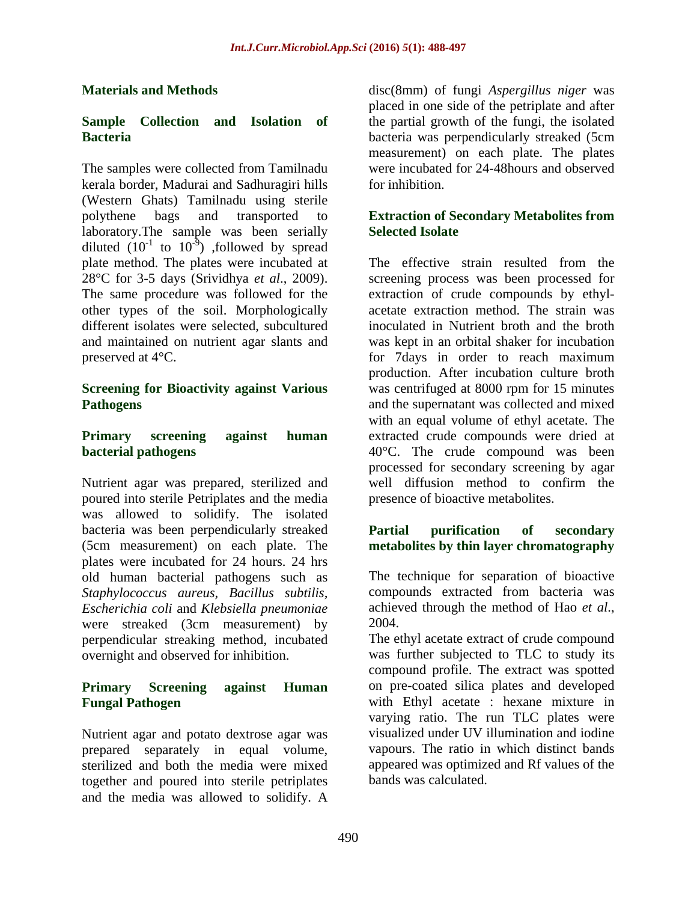The samples were collected from Tamilnadu kerala border, Madurai and Sadhuragiri hills (Western Ghats) Tamilnadu using sterile polythene bags and transported to **Extraction of Secondary Metabolites from**  laboratory. The sample was been serially Selected Isolate diluted  $(10^{-1}$  to  $10^{-9})$ , followed by spread ) ,followed by spread other types of the soil. Morphologically different isolates were selected, subcultured

Nutrient agar was prepared, sterilized and well diffusion method to confirm the poured into sterile Petriplates and the media was allowed to solidify. The isolated bacteria was been perpendicularly streaked **Partial purification of secondary** (5cm measurement) on each plate. The **metabolites by thin layer chromatography** plates were incubated for 24 hours. 24 hrs old human bacterial pathogens such as *Staphylococcus aureus, Bacillus subtilis, Escherichia coli* and *Klebsiella pneumoniae* were streaked (3cm measurement) by 2004. perpendicular streaking method, incubated The ethyl acetate extract of crude compound

Nutrient agar and potato dextrose agar was prepared separately in equal volume, together and poured into sterile petriplates and the media was allowed to solidify. A

**Materials and Methods** disc(8mm) of fungi *Aspergillus niger* was **Sample Collection and Isolation of** the partial growth of the fungi, the isolated **Bacteria** bacteria was perpendicularly streaked (5cm placed in one side of the petriplate and after measurement) on each plate. The plates were incubated for 24-48hours and observed for inhibition.

## **Selected Isolate**

plate method. The plates were incubated at The effective strain resulted from the 28°C for 3-5 days (Srividhya *et al*., 2009). screening process was been processed for The same procedure was followed for the extraction of crude compounds by ethyl and maintained on nutrient agar slants and was kept in an orbital shaker for incubation preserved at 4°C. for 7days in order to reach maximum **Screening for Bioactivity against Various** was centrifuged at 8000 rpm for 15 minutes **Pathogens** and the supernatant was collected and mixed **Primary screening against human** extracted crude compounds were dried at **bacterial pathogens bacterial pathogens a 10°C**. The crude compound was been acetate extraction method. The strain was inoculated in Nutrient broth and the broth production. After incubation culture broth with an equal volume of ethyl acetate. The processed for secondary screening by agar well diffusion method to confirm the presence of bioactive metabolites.

# **Partial purification of secondary**

The technique for separation of bioactive compounds extracted from bacteria was achieved through the method of Hao *et al*., 2004.

overnight and observed for inhibition. was further subjected to TLC to study its **Primary Screening against Human** on pre-coated silica plates and developed **Fungal Pathogen** with Ethyl acetate : hexane mixture in sterilized and both the media were mixed appeared was optimized and Rf values of the compound profile. The extract was spotted varying ratio. The run TLC plates were visualized under UV illumination and iodine vapours. The ratio in which distinct bands bands was calculated.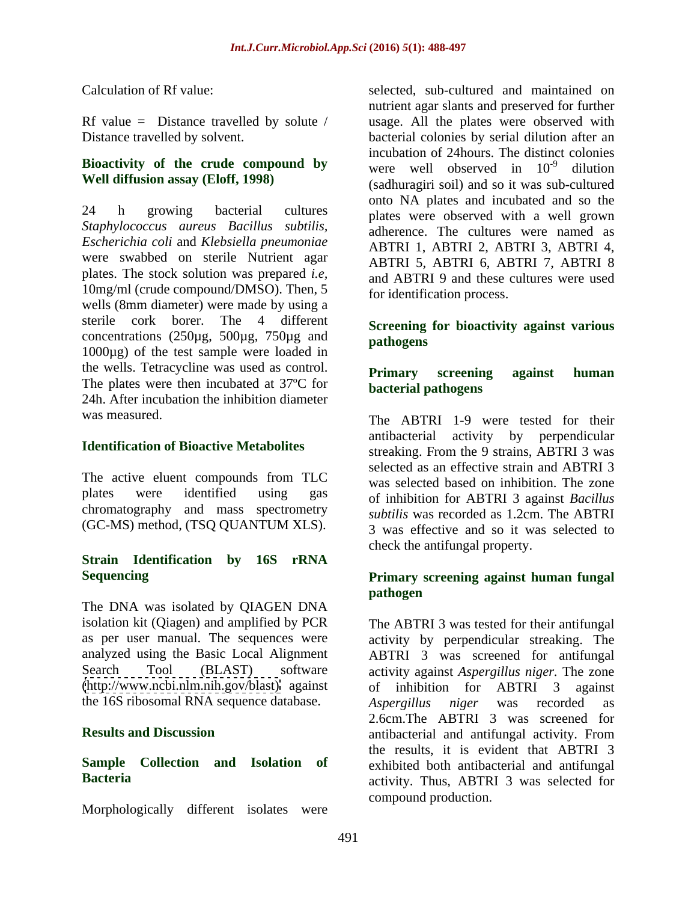## **Bioactivity of the crude compound by**

*Staphylococcus aureus Bacillus subtilis, Escherichia coli* and *Klebsiella pneumoniae* were swabbed on sterile Nutrient agar plates. The stock solution was prepared *i.e,* 10mg/ml (crude compound/DMSO). Then, 5 wells (8mm diameter) were made by using a sterile cork borer. The 4 different **Screening for bioactivity against various** concentrations (250µg, 500µg, 750µg and pathogens 1000µg) of the test sample were loaded in the wells. Tetracycline was used as control. **Primary** screening against human The plates were then incubated at 37ºC for 24h. After incubation the inhibition diameter

chromatography and mass spectrometry (GC-MS) method, (TSQ QUANTUM XLS).

## **Strain Identification by 16S rRNA**

The DNA was isolated by QIAGEN DNA isolation kit (Qiagen) and amplified by PCR the 16S ribosomal RNA sequence database. Aspergillus niger was recorded as

Morphologically different isolates were

Calculation of Rf value: selected, sub-cultured and maintained on Rf value = Distance travelled by solute / usage. All the plates were observed with Distance travelled by solvent. bacterial colonies by serial dilution after an **Well diffusion assay (Eloff, 1998)** (sadhuragiri soil) and so it was sub-cultured 24 h growing bacterial cultures plates were observed with a well grown nutrient agar slants and preserved for further incubation of 24hours. The distinct colonies were well observed in  $10^{-9}$  dilution  $-9$  dilution dilution and the state of the state of the state of the state of the state of the state of the state of the sta onto NA plates and incubated and so the adherence. The cultures were named as ABTRI 1, ABTRI 2, ABTRI 3, ABTRI 4, ABTRI 5, ABTRI 6, ABTRI 7, ABTRI 8 and ABTRI 9 and these cultures were used for identification process.

## **pathogens**

### **Primary screening against human bacterial pathogens**

was measured. The ABTRI 1-9 were tested for their **Identification of Bioactive Metabolites** streaking. From the 9 strains, ABTRI 3 was The active eluent compounds from TLC was selected based on inhibition The zone plates were identified using gas of inhibition for ABTRI 3 against *Bacillus* antibacterial activity by perpendicular selected as an effective strain and ABTRI 3 was selected based on inhibition. The zone *subtilis* was recorded as 1.2cm. The ABTRI 3 was effective and so it was selected to check the antifungal property.

### **Sequencing Primary screening against human fungal pathogen**

as per user manual. The sequences were activity by perpendicular streaking. The analyzed using the Basic Local Alignment ABTRI 3 was screened for antifungal Search Tool (BLAST) software activity against *Aspergillus niger.* The zone [\(http://www.ncbi.nlm.nih.gov/blast\)](http://www.ncbi.nlm.nih.gov/blast) against of inhibition for ABTRI 3 against **Results and Discussion Results and Discussion Results and Discussion Results and Discussion Results and Property Results** and **Results** and **Results** and **Results** and **Results** and **Results** and **Results** and **Sample Collection and Isolation of** exhibited both antibacterial and antifungal Bacteria **Bacteria activity.** Thus, ABTRI 3 was selected for The ABTRI 3 was tested for their antifungal *Aspergillus niger* was recorded as 2.6cm.The ABTRI 3 was screened for antibacterial and antifungal activity. From the results, it is evident that ABTRI 3 compound production.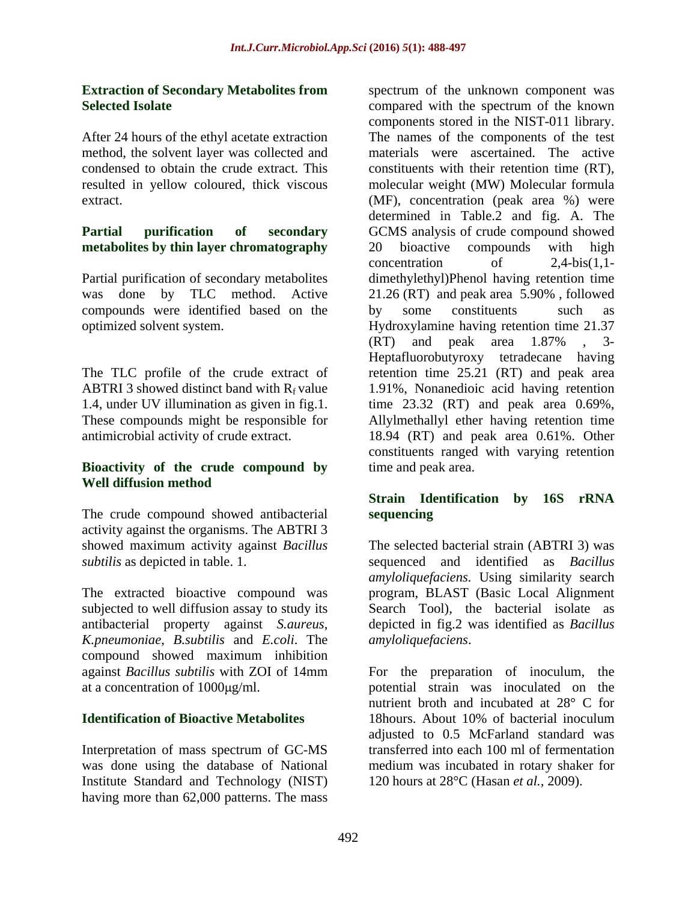## **Extraction of Secondary Metabolites from**

method, the solvent layer was collected and

## **metabolites by thin layer chromatography**

compounds were identified based on the

### **Bioactivity of the crude compound by Well diffusion method**

The crude compound showed antibacterial sequencing activity against the organisms. The ABTRI 3

The extracted bioactive compound was subjected to well diffusion assay to study its *K.pneumoniae*, *B.subtilis* and *E.coli*. The compound showed maximum inhibition

Interpretation of mass spectrum of GC-MS Institute Standard and Technology (NIST) having more than 62,000 patterns. The mass

**Selected Isolate Compared** with the spectrum of the known After 24 hours of the ethyl acetate extraction The names of the components of the test condensed to obtain the crude extract. This constituents with their retention time (RT), resulted in yellow coloured, thick viscous molecular weight (MW) Molecular formula extract. (MF), concentration (peak area %) were **Partial purification of secondary** GCMS analysis of crude compound showed Partial purification of secondary metabolites dimethylethyl)Phenol having retention time was done by TLC method. Active 21.26 (RT) and peak area 5.90% , followed optimized solvent system. Hydroxylamine having retention time 21.37 The TLC profile of the crude extract of retention time 25.21 (RT) and peak area ABTRI 3 showed distinct band with  $R_f$  value 1.91%, Nonanedioic acid having retention 1.4, under UV illumination as given in fig.1. time 23.32 (RT) and peak area 0.69%, These compounds might be responsible for Allylmethallyl ether having retention time antimicrobial activity of crude extract. 18.94 (RT) and peak area 0.61%. Other spectrum of the unknown component was components stored in the NIST-011 library. materials were ascertained. The active determined in Table.2 and fig. A. The 20 bioactive compounds with high  $concentration$  of  $2,4-bis(1,1$ by some constituents such as (RT) and peak area 1.87% , 3- Heptafluorobutyroxy tetradecane having constituents ranged with varying retention time and peak area.

### **Strain Identification by 16S rRNA sequencing**

showed maximum activity against *Bacillus*  The selected bacterial strain (ABTRI 3) was *subtilis* as depicted in table. 1. sequenced and identified as *Bacillus*  antibacterial property against *S.aureus*, depicted in fig.2 was identified as *Bacillus amyloliquefaciens.* Using similarity search program, BLAST (Basic Local Alignment Search Tool), the bacterial isolate as *amyloliquefaciens*.

against *Bacillus subtilis* with ZOI of 14mm For the preparation of inoculum, the at a concentration of 1000µg/ml. but potential strain was inoculated on the **Identification of Bioactive Metabolites** 18hours. About 10% of bacterial inoculum was done using the database of National medium was incubated in rotary shaker for nutrient broth and incubated at 28° C for 18hours. About 10% of bacterial inoculum adjusted to 0.5 McFarland standard was transferred into each 100 ml of fermentation 120 hours at 28°C (Hasan *et al.,* 2009).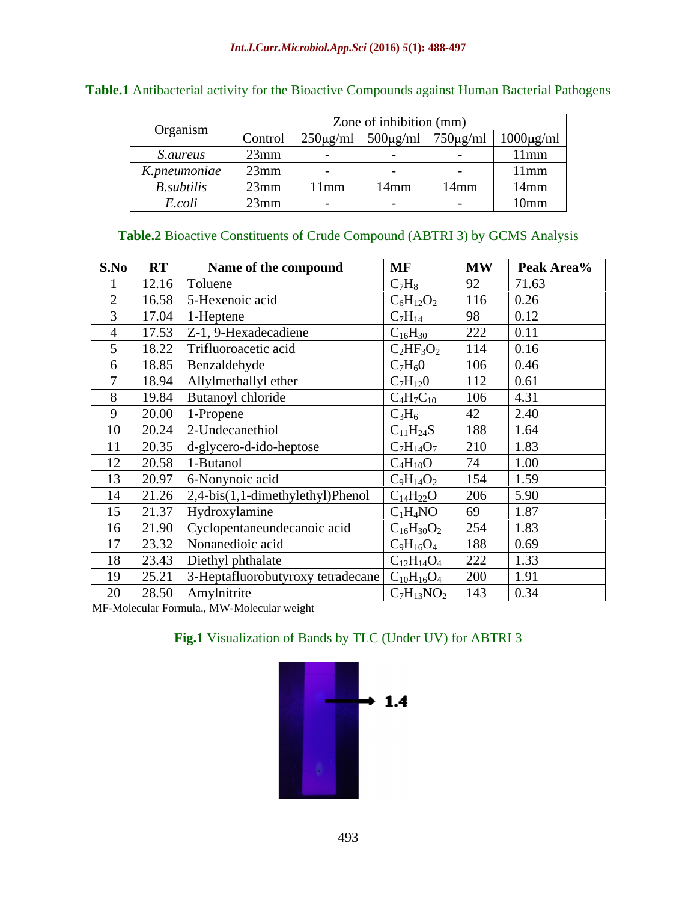| Organism<br>$\sim$ $\sim$ $\sim$ $\sim$ $\sim$ $\sim$ |                            | Zone of inhibition ( $mm^{\circ}$ )                 |         |         |                                            |  |
|-------------------------------------------------------|----------------------------|-----------------------------------------------------|---------|---------|--------------------------------------------|--|
|                                                       | CONTOL                     | $\left  \frac{250 \mu g}{m} \right $ 500 $\mu$ g/ml |         | 1.750   | $750 \mu\text{g/ml}$ 1000 $\mu\text{g/ml}$ |  |
| <i>S.aureus</i>                                       | 23mn                       |                                                     |         |         |                                            |  |
| K.pneumoniae                                          | $\sim$<br>23 <sub>mn</sub> |                                                     |         |         |                                            |  |
| __<br><b>B.</b> subtilis                              | $23$ mn                    | 11mm                                                | $14$ mm | $14$ mm | $14$ mm                                    |  |
| E.coll                                                | 23mm                       |                                                     |         |         | 10 <sub>mm</sub>                           |  |

### **Table.1** Antibacterial activity for the Bioactive Compounds against Human Bacterial Pathogens

### **Table.2** Bioactive Constituents of Crude Compound (ABTRI 3) by GCMS Analysis

| S.No RT<br>Name of the compound                  | <b>MF</b>                                                                                    | Peak Area%<br><b>MW</b> |
|--------------------------------------------------|----------------------------------------------------------------------------------------------|-------------------------|
| $12.16$ Toluene                                  |                                                                                              | 1.63                    |
| $\vert$ 16.58 $\vert$ 5-Hexenoic acid            | $C_6H_{12}O_2$                                                                               | 0.26                    |
| $17.04$ 1-Heptene                                | $C_{7}H_{14}$                                                                                | 0.12                    |
| 4   17.53   $Z-1$ , 9-Hexadecadiene              | $C_{16}H_{30}$                                                                               | 222                     |
| 18.22 Trifluoroacetic acid                       | $C_2HF_3O_2$                                                                                 | 114<br>0.16             |
| $6$   18.85   Benzaldehyde                       | $C_7H_6O$                                                                                    | 106<br>0.46             |
| 18.94   Allylmethallyl ether                     | $\frac{C_7H_{12}0}{C_4H_7C_{10}}$                                                            | 112                     |
| 8   19.84   Butanoyl chloride                    |                                                                                              | 106                     |
| 1-Propene<br>20.00                               |                                                                                              | 2.40                    |
| 10<br>$\vert$ 20.24 $\vert$ 2-Undecanethiol      | $\frac{\rm C_{11}H_{24}S}{\rm C_{7}H_{14}O_{7}}$ $\frac{\rm C_{4}H_{10}O}{\rm C_{4}H_{10}O}$ | 1.64<br>188             |
| $\boxed{11}$   20.35   d-glycero-d-ido-heptose   |                                                                                              | 1.83                    |
| $\vert$ 20.58 $\vert$ 1-Butanol<br>1/2           |                                                                                              | $1.00\,$                |
| $\boxed{20.97}$ 6-Nonynoic acid<br>13            | $C_9H_{14}O_2$                                                                               | 154<br>1.59             |
| $21.26$ $2,4-bis(1,1-dimethylethyl)Phenol$<br>14 | $C_{14}H_{22}O$                                                                              | 206<br>5.90             |
| $\vert$ 21.37   Hydroxylamine                    | $C_1H_4NO$                                                                                   | 1.87                    |
| 16   21.90   Cyclopentaneundecanoic acid         | $C_{16}H_{30}O_2$                                                                            | 254<br>1.83             |
| $17 \mid 23.32 \mid$ Nonanedioic acid            | $C_9H_{16}O_4$                                                                               | 188<br>0.69             |
| 18 23.43 Diethyl phthalate                       | $C_{12}H_{14}O_4$                                                                            | 222                     |
|                                                  |                                                                                              |                         |
| $\boxed{20}$   28.50   Amylnitrite               | $C_7H_{13}NO_2$   143   0.34                                                                 |                         |

MF-Molecular Formula., MW-Molecular weight

### **Fig.1** Visualization of Bands by TLC (Under UV) for ABTRI 3

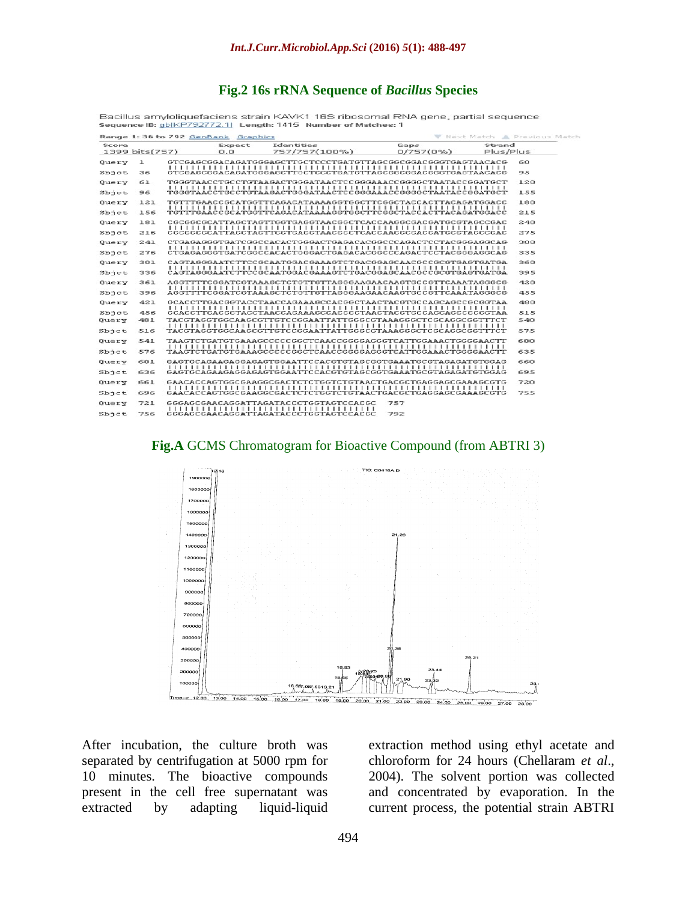### **Fig.2 16s rRNA Sequence of** *Bacillus* **Species**

| $\frac{1}{2}$ or $\frac{1}{2}$ of $\frac{1}{2}$ or $\frac{1}{2}$ of $\frac{1}{2}$ of $\frac{1}{2}$ of $\frac{1}{2}$ of $\frac{1}{2}$ of $\frac{1}{2}$ of $\frac{1}{2}$ of $\frac{1}{2}$ of $\frac{1}{2}$ of $\frac{1}{2}$ of $\frac{1}{2}$ of $\frac{1}{2}$ of $\frac{1}{2}$ of $\frac{1}{2}$ of |     |  |               |                                                              |  |                   |                     |     |  |  |  |  |  |
|--------------------------------------------------------------------------------------------------------------------------------------------------------------------------------------------------------------------------------------------------------------------------------------------------|-----|--|---------------|--------------------------------------------------------------|--|-------------------|---------------------|-----|--|--|--|--|--|
| Range 1:36 to 792 GenBank Graphics<br>W Next Match A Previous Match                                                                                                                                                                                                                              |     |  |               |                                                              |  |                   |                     |     |  |  |  |  |  |
| Score<br>1399 bits(757)                                                                                                                                                                                                                                                                          |     |  | Expect<br>0.0 | Identities<br>757/757(100%)                                  |  | Gaps<br>0/757(0%) | Strand<br>Plus/Plus |     |  |  |  |  |  |
|                                                                                                                                                                                                                                                                                                  |     |  |               |                                                              |  |                   |                     |     |  |  |  |  |  |
| Query                                                                                                                                                                                                                                                                                            | ı   |  |               | GTCGAGCGGACAGATGGGAGCTTGCTCCCTGATGTTAGCGGCGGACGGGTGAGTAACACG |  |                   |                     | 60  |  |  |  |  |  |
| Sbict                                                                                                                                                                                                                                                                                            | 36  |  |               | GTCGAGCGGACAGATGGGAGCTTGCTCCCTGATGTTAGCGGCGGACGGGTGAGTAACACG |  |                   |                     | 95  |  |  |  |  |  |
| Query                                                                                                                                                                                                                                                                                            | 61  |  |               | TGGGTAACCTGCCTGTAAGACTGGGATAACTCCGGGAAACCGGGGCTAATACCGGATGCT |  |                   |                     | 120 |  |  |  |  |  |
| Sbjet                                                                                                                                                                                                                                                                                            | 96  |  |               | TGGGTAACCTGCCTGTAAGACTGGGATAACTCCGGGAAACCGGGGCTAATACCGGATGCT |  |                   |                     | 155 |  |  |  |  |  |
| Query                                                                                                                                                                                                                                                                                            | 121 |  |               | TGTTTGAACCGCATGGTTCAGACATAAAAGGTGGCTTCGGCTACCACTTACAGATGGACC |  |                   |                     | 180 |  |  |  |  |  |
| Sbict                                                                                                                                                                                                                                                                                            | 156 |  |               | TGTTTGAACCGCATGGTTCAGACATAAAAGGTGGCTTCGGCTACCACTTACAGATGGACC |  |                   |                     | 215 |  |  |  |  |  |
| Query                                                                                                                                                                                                                                                                                            | 181 |  |               | CGCGGCGCATTAGCTAGTTGGTGAGGTAACGGCTCACCAAGGCGACGATGCGTAGCCGAC |  |                   |                     | 240 |  |  |  |  |  |
| Sbict                                                                                                                                                                                                                                                                                            | 216 |  |               | CGCGGCGCATTAGCTAGTTGGTGAGGTAACGGCTCACCAAGGCGACGATGCGTAGCCGAC |  |                   |                     | 275 |  |  |  |  |  |
| Query                                                                                                                                                                                                                                                                                            | 241 |  |               | CTGAGAGGGTGATCGGCCACACTGGGACTGAGACACGCCCCAGACTCCTACGGGAGGCAG |  |                   |                     | 300 |  |  |  |  |  |
| Sbict                                                                                                                                                                                                                                                                                            | 276 |  |               | CTGAGAGGGTGATCGGCCACACTGGGACTGAGACACGGCCCAGACTCCTACGGGAGGCAG |  |                   |                     | 335 |  |  |  |  |  |
| Query                                                                                                                                                                                                                                                                                            | 301 |  |               |                                                              |  |                   |                     | 360 |  |  |  |  |  |
| Sbict                                                                                                                                                                                                                                                                                            | 336 |  |               |                                                              |  |                   |                     | 395 |  |  |  |  |  |
| Query                                                                                                                                                                                                                                                                                            | 361 |  |               | AGGTTTTCGGATCGTAAAGCTCTGTTGTTAGGGAAGAACAAGTGCCGTTCAAATAGGGCG |  |                   |                     | 420 |  |  |  |  |  |
| Sbict                                                                                                                                                                                                                                                                                            | 396 |  |               | AGGTTTTCGGATCGTAAAGCTCTGTTGTTAGGGAAGAACAAGTGCCGTTCAAATAGGGCG |  |                   |                     | 455 |  |  |  |  |  |
| Query                                                                                                                                                                                                                                                                                            | 421 |  |               | GCACCTTGACGGTACCTAACCAGAAAGCCACGGCTAACTACGTGCCAGCAGCCGCGGTAA |  |                   |                     | 480 |  |  |  |  |  |
| Sbict                                                                                                                                                                                                                                                                                            | 456 |  |               | GCACCTTGACGGTACCTAACCAGAAAGCCACGGCTAACTACGTGCCAGCAGCCGCGGTAA |  |                   |                     | 515 |  |  |  |  |  |
| Query                                                                                                                                                                                                                                                                                            | 481 |  |               | TACGTAGGTGGCAAGCGTTGTCCGGAATTATTGGGCGTAAAGGGCTCGCAGGCGGTTTCT |  |                   |                     | 540 |  |  |  |  |  |
| Sbjet                                                                                                                                                                                                                                                                                            | 516 |  |               | TACGTAGGTGGCAAGCGTTGTCCGGAATTATTGGGCGTAAAGGGCTCGCAGGCGGTTTCT |  |                   |                     | 575 |  |  |  |  |  |
| Query                                                                                                                                                                                                                                                                                            | 541 |  |               | TAAGTCTGATGTGAAAGCCCCCGGCTCAACCGGGGAGGGTCATTGGAAACTGGGGAACTT |  |                   |                     | 600 |  |  |  |  |  |
| $S$ bjct                                                                                                                                                                                                                                                                                         | 576 |  |               | TAAGTCTGATGTGAAAGCCCCCGGCTCAACCGGGGAGGGTCATTGGAAACTGGGGAACTT |  |                   |                     | 635 |  |  |  |  |  |
| Query                                                                                                                                                                                                                                                                                            | 601 |  |               | GAGTGCAGAAGAGGAGAGTGGAATTCCACGTGTAGCGGTGAAATGCGTAGAGATGTGGAG |  |                   |                     | 660 |  |  |  |  |  |
| Sbict                                                                                                                                                                                                                                                                                            | 636 |  |               | GAGTGCAGAAGAGGAGAGTGGAATTCCACGTGTAGCGGTGAAATGCGTAGAGATGTGGAG |  |                   |                     | 695 |  |  |  |  |  |
| Query                                                                                                                                                                                                                                                                                            | 661 |  |               | GAACACCAGTGGCGAAGGCGACTCTCTGGTCTGTAACTGACGCTGAGGAGCGAAAGCGTG |  |                   |                     | 720 |  |  |  |  |  |
| $S$ bjct                                                                                                                                                                                                                                                                                         | 696 |  |               | GAACACCAGTGGCGAAGGCGACTCTCTGGTCTGTAACTGACGCTGAGGAGCGAAAGCGTG |  |                   |                     | 755 |  |  |  |  |  |
| Query                                                                                                                                                                                                                                                                                            | 721 |  |               | GGGAGCGAACAGGATTAGATACCCTGGTAGTCCACGC                        |  | 757               |                     |     |  |  |  |  |  |
| $Sb$ jct                                                                                                                                                                                                                                                                                         | 756 |  |               | GGGAGCGAACAGGATTAGATACCCTGGTAGTCCACGC                        |  | 792               |                     |     |  |  |  |  |  |

Bacillus amyloliquefaciens strain KAVK1 16S ribosomal RNA gene, partial sequence

**Fig.A** GCMS Chromatogram for Bioactive Compound (from ABTRI 3)



After incubation, the culture broth was extraction method using ethyl acetate and separated by centrifugation at 5000 rpm for chloroform for 24 hours (Chellaram et al., 10 minutes. The bioactive compounds 2004). The solvent portion was collected

present in the cell free supernatant was and concentrated by evaporation. In the extracted by adapting liquid-liquid current process, the potential strain ABTRIchloroform for <sup>24</sup> hours (Chellaram *et al*., 2004). The solvent portion was collected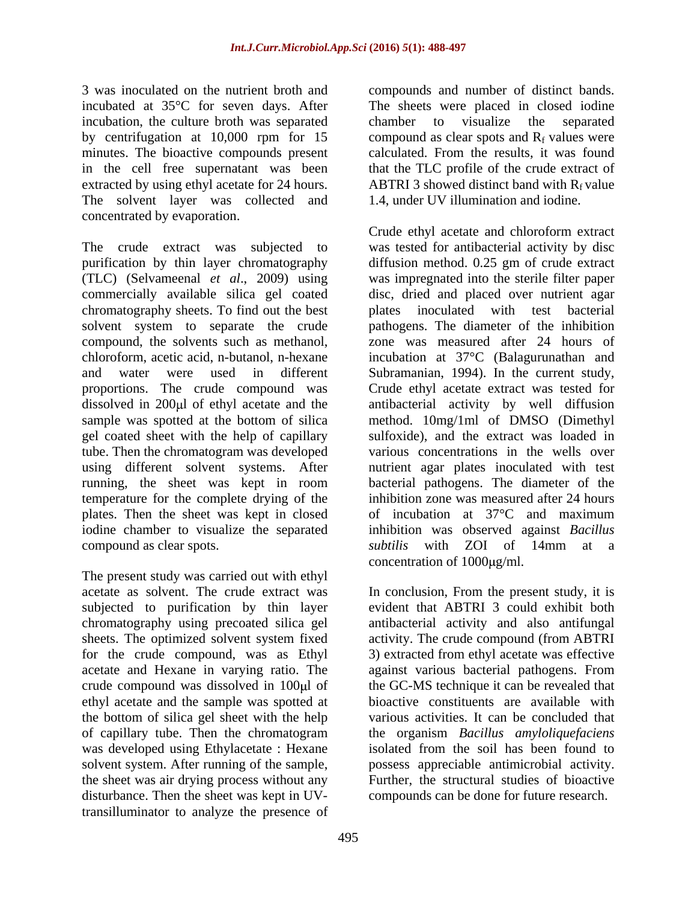3 was inoculated on the nutrient broth and compounds and number of distinct bands. incubated at 35°C for seven days. After The sheets were placed in closed iodine incubation, the culture broth was separated chamber to visualize the separated by centrifugation at 10,000 rpm for 15 minutes. The bioactive compounds present calculated. From the results, it was found in the cell free supernatant was been that the TLC profile of the crude extract of extracted by using ethyl acetate for 24 hours. ABTRI 3 showed distinct band with  $R_f$  value The solvent layer was collected and concentrated by evaporation.

commercially available silica gel coated gel coated sheet with the help of capillary tube. Then the chromatogram was developed using different solvent systems. After temperature for the complete drying of the plates. Then the sheet was kept in closed compound as clear spots. Subtilis with ZOI of 14mm at a

The present study was carried out with ethyl acetate as solvent. The crude extract was In conclusion, From the present study, it is subjected to purification by thin layer chromatography using precoated silica gel antibacterial activity and also antifungal sheets. The optimized solvent system fixed activity. The crude compound (from ABTRI for the crude compound, was as Ethyl acetate and Hexane in varying ratio. The against various bacterial pathogens. From crude compound was dissolved in 100µl of ethyl acetate and the sample was spotted at the bottom of silica gel sheet with the help various activities. It can be concluded that of capillary tube. Then the chromatogram was developed using Ethylacetate : Hexane solvent system. After running of the sample, possess appreciable antimicrobial activity. the sheet was air drying process without any Further, the structural studies of bioactive disturbance. Then the sheet was kept in UVtransilluminator to analyze the presence of

495

chamber to visualize the separated compound as clear spots and  $R_f$  values were 1.4, under UV illumination and iodine.

The crude extract was subjected to was tested for antibacterial activity by disc purification by thin layer chromatography diffusion method. 0.25 gm of crude extract (TLC) (Selvameenal *et al*., 2009) using was impregnated into the sterile filter paper chromatography sheets. To find out thebest plates inoculated with test bacterial solvent system to separate the crude pathogens. The diameter of the inhibition compound, the solvents such as methanol, zone was measured after 24 hours of chloroform, acetic acid, n-butanol, n-hexane incubation at 37°C (Balagurunathan and and water were used in different Subramanian, 1994). In the current study, proportions. The crude compound was Crude ethyl acetate extract was tested for dissolved in 200µl of ethyl acetate and the antibacterial activity by well diffusion sample was spotted at the bottom of silica method. 10mg/1ml of DMSO (Dimethyl running, the sheet was kept in room bacterial pathogens. The diameter of the iodine chamber to visualize the separated inhibition was observed against *Bacillus*  Crude ethyl acetate and chloroform extract disc, dried and placed over nutrient agar sulfoxide), and the extract was loaded in various concentrations in the wells over nutrient agar plates inoculated with test inhibition zone was measured after 24 hours of incubation at 37°C and maximum *subtilis* with ZOI of 14mm at a concentration of  $1000 \mu g/ml$ .

> evident that ABTRI 3 could exhibit both 3) extracted from ethyl acetate was effective the GC-MS technique it can be revealed that bioactive constituents are available with the organism *Bacillus amyloliquefaciens* isolated from the soil has been found to compounds can be done for future research.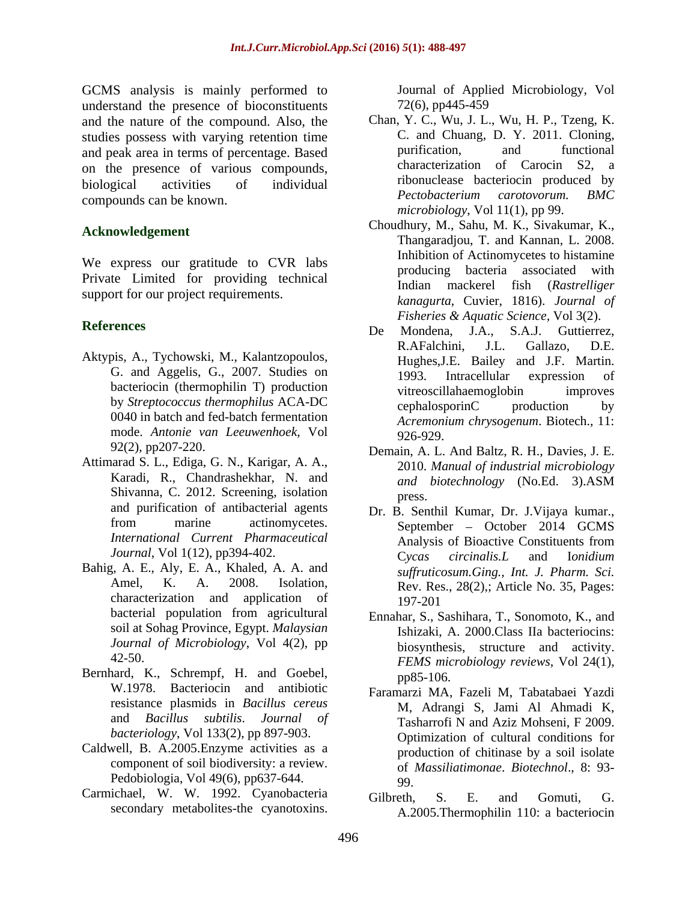GCMS analysis is mainly performed to understand the presence of bioconstituents 72(6), pp445-459 and the nature of the compound. Also, the studies possess with varying retention time<br>and peak area in terms of percentage Based purification, and functional and peak area in terms of percentage. Based on the presence of various compounds, compounds can be known. BMC entry a pertobacterium carotovorum. BMC

We express our gratitude to CVR labs<br>producing bacteria associated with Private Limited for providing technical and producing bacteria associated with support for our project requirements.

- Aktypis, A., Tychowski, M., Kalantzopoulos, 0040 in batch and fed-batch fermentation mode. *Antonie van Leeuwenhoek*, Vol
- Attimarad S. L., Ediga, G. N., Karigar, A. A., Shivanna, C. 2012. Screening, isolation and purification of antibacterial agents
- Bahig, A. E., Aly, E. A., Khaled, A. A. and characterization and application of bacterial population from agricultural <br>
Finantar S. Sashihara T. Sonomoto K. and soil at Sohag Province, Egypt. *Malaysian Journal of Microbiology*, Vol 4(2), pp
- Bernhard, K., Schrempf, H. and Goebel, pp85-106. resistance plasmids in *Bacillus cereus* and *Bacillus subtilis*. *Journal of bacteriology*, Vol 133(2), pp 897-903.
- Caldwell, B. A.2005.Enzyme activities as a component of soil biodiversity: a review. Pedobiologia, Vol 49(6), pp637-644. 99
- Carmichael, W. W. 1992. Cyanobacteria Gilbreth, S. E. and Gomuti, G. secondary metabolites-the cyanotoxins.

Journal of Applied Microbiology, Vol 72(6), pp445-459

- biological activities of individual intervelses bacteriocin produced by Chan, Y. C., Wu, J. L., Wu, H. P., Tzeng, K. C. and Chuang, D. Y. 2011. Cloning, purification, and functional characterization of Carocin S2, a *Pectobacterium carotovorum. BMC microbiology*, Vol 11(1), pp 99.
- Acknowledgement<br>
Thangaradjou, T. and Kannan, L. 2008.<br>
Thangaradjou, T. and Kannan, L. 2008. Choudhury, M., Sahu, M. K., Sivakumar, K., Inhibition of Actinomycetes to histamine producing bacteria associated Indian mackerel fish (*Rastrelliger kanagurta*, Cuvier, 1816). *Journal of Fisheries & Aquatic Science,* Vol 3(2).
- **References** De Mondena, J.A., S.A.J. Guttierrez, G. and Aggelis, G., 2007. Studies on 1993. Intracellular expression of bacteriocin (thermophilin T) production<br>
vitreoscillahaemoglobin
improves by *Streptococcus thermophilus* ACA-DC cephalosporinC production by R.AFalchini, J.L. Gallazo, D.E. Hughes,J.E. Bailey and J.F. Martin. 1993. Intracellular expression of vitreoscillahaemoglobin improves cephalosporinC production by *Acremonium chrysogenum*. Biotech., 11: 926-929.
	- 92(2), pp207-220. Demain, A. L. And Baltz, R. H., Davies, J. E. Karadi, R., Chandrashekhar, N. and and biotechnology (No.Ed. 3).ASM 2010. *Manual of industrial microbiology and biotechnology* (No.Ed. 3).ASM press.
	- from marine actinomycetes. September October 2014 GCMS *International Current Pharmaceutical Journal*, Vol 1(12), pp394-402. Cycas circinalis. L and *Ionidium* Amel, K. A. 2008. Isolation, Rev. Res., 28(2), Article No. 35, Pages: Dr. B. Senthil Kumar, Dr. J.Vijaya kumar., September – October 2014 GCMS Analysis of Bioactive Constituents from C*ycas circinalis.L* and I*onidium suffruticosum.Ging., Int. J. Pharm. Sci.* 197-201
	- 42-50. *FEMS microbiology reviews*, Vol 24(1), Ennahar, S., Sashihara, T., Sonomoto, K., and Ishizaki, A. 2000.Class IIa bacteriocins: biosynthesis, structure and activity. pp85-106.
	- W.1978. Bacteriocin and antibiotic Faramarzi MA, Fazeli M, Tabatabaei Yazdi M, Adrangi S, Jami Al Ahmadi K, Tasharrofi N and Aziz Mohseni, F 2009. Optimization of cultural conditions for production of chitinase by a soil isolate of *Massiliatimonae*. *Biotechnol*., 8: 93- 99.
		- Gilbreth, S. E. and Gomuti, G. A.2005.Thermophilin 110: a bacteriocin